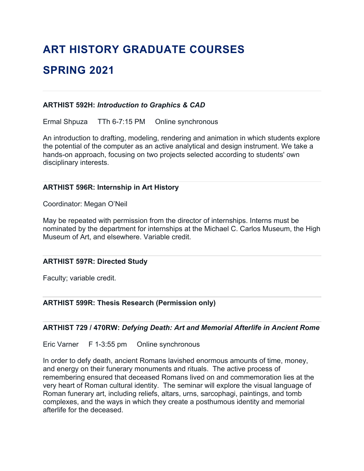# **ART HISTORY GRADUATE COURSES SPRING 2021**

#### **ARTHIST 592H:** *Introduction to Graphics & CAD*

Ermal Shpuza TTh 6-7:15 PM Online synchronous

An introduction to drafting, modeling, rendering and animation in which students explore the potential of the computer as an active analytical and design instrument. We take a hands-on approach, focusing on two projects selected according to students' own disciplinary interests.

### **ARTHIST 596R: Internship in Art History**

Coordinator: Megan O'Neil

May be repeated with permission from the director of internships. Interns must be nominated by the department for internships at the Michael C. Carlos Museum, the High Museum of Art, and elsewhere. Variable credit.

#### **ARTHIST 597R: Directed Study**

Faculty; variable credit.

**ARTHIST 599R: Thesis Research (Permission only)**

#### **ARTHIST 729 / 470RW:** *Defying Death: Art and Memorial Afterlife in Ancient Rome*

Eric Varner F 1-3:55 pm Online synchronous

In order to defy death, ancient Romans lavished enormous amounts of time, money, and energy on their funerary monuments and rituals. The active process of remembering ensured that deceased Romans lived on and commemoration lies at the very heart of Roman cultural identity. The seminar will explore the visual language of Roman funerary art, including reliefs, altars, urns, sarcophagi, paintings, and tomb complexes, and the ways in which they create a posthumous identity and memorial afterlife for the deceased.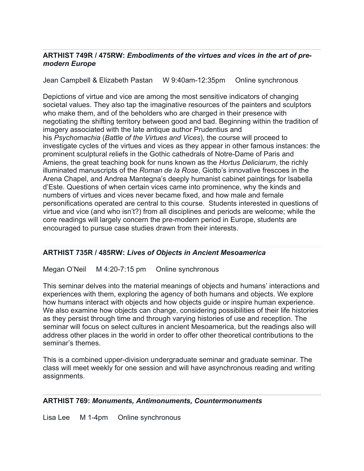### **ARTHIST 749R / 475RW:** *Embodiments of the virtues and vices in the art of premodern Europe*

Jean Campbell & Elizabeth Pastan W 9:40am-12:35pm Online synchronous

Depictions of virtue and vice are among the most sensitive indicators of changing societal values. They also tap the imaginative resources of the painters and sculptors who make them, and of the beholders who are charged in their presence with negotiating the shifting territory between good and bad. Beginning within the tradition of imagery associated with the late antique author Prudentius and his *Psychomachia* (*Battle of the Virtues and Vices*), the course will proceed to investigate cycles of the virtues and vices as they appear in other famous instances: the prominent sculptural reliefs in the Gothic cathedrals of Notre-Dame of Paris and Amiens, the great teaching book for nuns known as the *Hortus Deliciarum*, the richly illuminated manuscripts of the *Roman de la Rose*, Giotto's innovative frescoes in the Arena Chapel, and Andrea Mantegna's deeply humanist cabinet paintings for Isabella d'Este. Questions of when certain vices came into prominence, why the kinds and numbers of virtues and vices never became fixed, and how male and female personifications operated are central to this course. Students interested in questions of virtue and vice (and who isn't?) from all disciplines and periods are welcome; while the core readings will largely concern the pre-modern period in Europe, students are encouraged to pursue case studies drawn from their interests.

## **ARTHIST 735R / 485RW:** *Lives of Objects in Ancient Mesoamerica*

Megan O'Neil M 4:20-7:15 pm Online synchronous

This seminar delves into the material meanings of objects and humans' interactions and experiences with them, exploring the agency of both humans and objects. We explore how humans interact with objects and how objects guide or inspire human experience. We also examine how objects can change, considering possibilities of their life histories as they persist through time and through varying histories of use and reception. The seminar will focus on select cultures in ancient Mesoamerica, but the readings also will address other places in the world in order to offer other theoretical contributions to the seminar's themes.

This is a combined upper-division undergraduate seminar and graduate seminar. The class will meet weekly for one session and will have asynchronous reading and writing assignments.

#### **ARTHIST 769:** *Monuments, Antimonuments, Countermonuments*

Lisa Lee M 1-4pm Online synchronous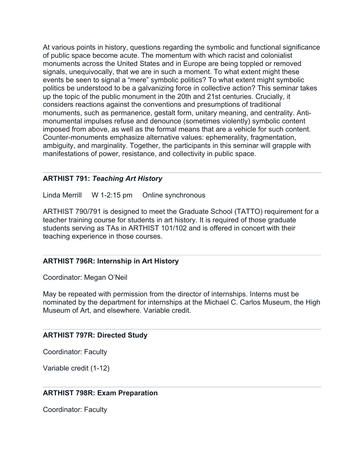At various points in history, questions regarding the symbolic and functional significance of public space become acute. The momentum with which racist and colonialist monuments across the United States and in Europe are being toppled or removed signals, unequivocally, that we are in such a moment. To what extent might these events be seen to signal a "mere" symbolic politics? To what extent might symbolic politics be understood to be a galvanizing force in collective action? This seminar takes up the topic of the public monument in the 20th and 21st centuries. Crucially, it considers reactions against the conventions and presumptions of traditional monuments, such as permanence, gestalt form, unitary meaning, and centrality. Antimonumental impulses refuse and denounce (sometimes violently) symbolic content imposed from above, as well as the formal means that are a vehicle for such content. Counter-monuments emphasize alternative values: ephemerality, fragmentation, ambiguity, and marginality. Together, the participants in this seminar will grapple with manifestations of power, resistance, and collectivity in public space.

#### **ARTHIST 791:** *Teaching Art History*

Linda Merrill W 1-2:15 pm Online synchronous

ARTHIST 790/791 is designed to meet the Graduate School (TATTO) requirement for a teacher training course for students in art history. It is required of those graduate students serving as TAs in ARTHIST 101/102 and is offered in concert with their teaching experience in those courses.

#### **ARTHIST 796R: Internship in Art History**

Coordinator: Megan O'Neil

May be repeated with permission from the director of internships. Interns must be nominated by the department for internships at the Michael C. Carlos Museum, the High Museum of Art, and elsewhere. Variable credit.

#### **ARTHIST 797R: Directed Study**

Coordinator: Faculty

Variable credit (1-12)

#### **ARTHIST 798R: Exam Preparation**

Coordinator: Faculty